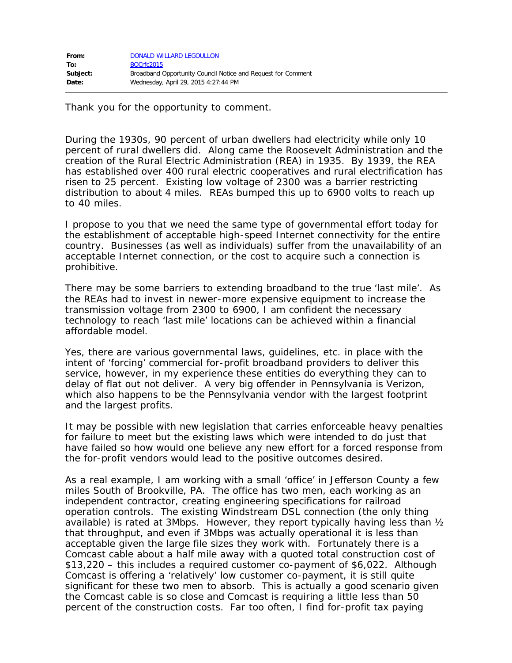| From:    | DONALD WILLARD LEGOULLON                                     |
|----------|--------------------------------------------------------------|
| To:      | BOCrfc2015                                                   |
| Subject: | Broadband Opportunity Council Notice and Request for Comment |
| Date:    | Wednesday, April 29, 2015 4:27:44 PM                         |

Thank you for the opportunity to comment.

During the 1930s, 90 percent of urban dwellers had electricity while only 10 percent of rural dwellers did. Along came the Roosevelt Administration and the creation of the Rural Electric Administration (REA) in 1935. By 1939, the REA has established over 400 rural electric cooperatives and rural electrification has risen to 25 percent. Existing low voltage of 2300 was a barrier restricting distribution to about 4 miles. REAs bumped this up to 6900 volts to reach up to 40 miles.

I propose to you that we need the same type of governmental effort today for the establishment of acceptable high-speed Internet connectivity for the entire country. Businesses (as well as individuals) suffer from the unavailability of an acceptable Internet connection, or the cost to acquire such a connection is prohibitive.

There may be some barriers to extending broadband to the true 'last mile'. As the REAs had to invest in newer-more expensive equipment to increase the transmission voltage from 2300 to 6900, I am confident the necessary technology to reach 'last mile' locations can be achieved within a financial affordable model.

Yes, there are various governmental laws, guidelines, etc. in place with the intent of 'forcing' commercial for-profit broadband providers to deliver this service, however, in my experience these entities do everything they can to delay of flat out not deliver. A very big offender in Pennsylvania is Verizon, which also happens to be the Pennsylvania vendor with the largest footprint and the largest profits.

It may be possible with new legislation that carries enforceable heavy penalties for failure to meet but the existing laws which were intended to do just that have failed so how would one believe any new effort for a forced response from the for-profit vendors would lead to the positive outcomes desired.

As a real example, I am working with a small 'office' in Jefferson County a few miles South of Brookville, PA. The office has two men, each working as an independent contractor, creating engineering specifications for railroad operation controls. The existing Windstream DSL connection (the only thing available) is rated at 3Mbps. However, they report typically having less than ½ that throughput, and even if 3Mbps was actually operational it is less than acceptable given the large file sizes they work with. Fortunately there is a Comcast cable about a half mile away with a quoted total construction cost of \$13,220 – this includes a required customer co-payment of \$6,022. Although Comcast is offering a 'relatively' low customer co-payment, it is still quite significant for these two men to absorb. This is actually a good scenario given the Comcast cable is so close and Comcast is requiring a little less than 50 percent of the construction costs. Far too often, I find for-profit tax paying